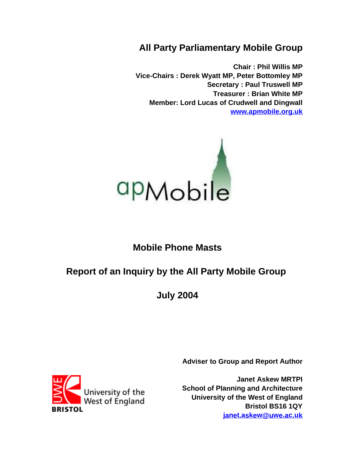# **All Party Parliamentary Mobile Group**

**Chair : Phil Willis MP Vice-Chairs : Derek Wyatt MP, Peter Bottomley MP Secretary : Paul Truswell MP Treasurer : Brian White MP Member: Lord Lucas of Crudwell and Dingwall www.apmobile.org.uk**



# **Mobile Phone Masts**

# **Report of an Inquiry by the All Party Mobile Group**

**July 2004**

**Adviser to Group and Report Author**

**Janet Askew MRTPI School of Planning and Architecture University of the West of England Bristol BS16 1QY janet.askew@uwe.ac.uk**

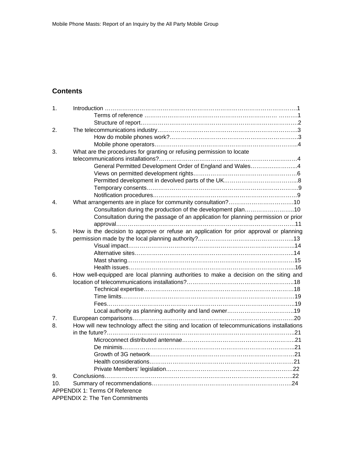## **Contents**

| 1.               |                                                                                            |  |
|------------------|--------------------------------------------------------------------------------------------|--|
|                  |                                                                                            |  |
|                  |                                                                                            |  |
| 2.               |                                                                                            |  |
|                  |                                                                                            |  |
|                  |                                                                                            |  |
| 3.               | What are the procedures for granting or refusing permission to locate                      |  |
|                  |                                                                                            |  |
|                  | General Permitted Development Order of England and Wales4                                  |  |
|                  |                                                                                            |  |
|                  |                                                                                            |  |
|                  |                                                                                            |  |
|                  |                                                                                            |  |
| $\overline{4}$ . |                                                                                            |  |
|                  | Consultation during the production of the development plan10                               |  |
|                  | Consultation during the passage of an application for planning permission or prior         |  |
|                  |                                                                                            |  |
| 5.               | How is the decision to approve or refuse an application for prior approval or planning     |  |
|                  |                                                                                            |  |
|                  |                                                                                            |  |
|                  |                                                                                            |  |
|                  |                                                                                            |  |
|                  |                                                                                            |  |
| 6.               | How well-equipped are local planning authorities to make a decision on the siting and      |  |
|                  |                                                                                            |  |
|                  |                                                                                            |  |
|                  |                                                                                            |  |
|                  |                                                                                            |  |
|                  |                                                                                            |  |
| 7 <sub>1</sub>   |                                                                                            |  |
| 8.               | How will new technology affect the siting and location of telecommunications installations |  |
|                  |                                                                                            |  |
|                  |                                                                                            |  |
|                  |                                                                                            |  |
|                  |                                                                                            |  |
|                  |                                                                                            |  |
|                  |                                                                                            |  |
| 9.               |                                                                                            |  |
| 10 <sub>1</sub>  |                                                                                            |  |
|                  | <b>APPENDIX 1: Terms Of Reference</b>                                                      |  |
|                  | <b>APPENDIX 2: The Ten Commitments</b>                                                     |  |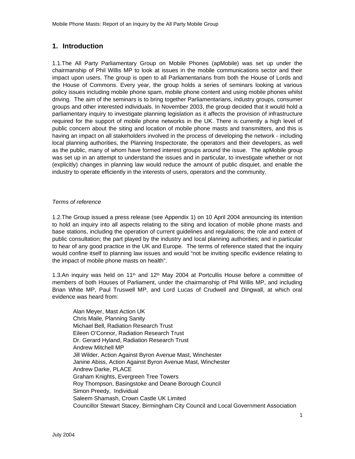## **1. Introduction**

1.1.The All Party Parliamentary Group on Mobile Phones (apMobile) was set up under the chairmanship of Phil Willis MP to look at issues in the mobile communications sector and their impact upon users. The group is open to all Parliamentarians from both the House of Lords and the House of Commons. Every year, the group holds a series of seminars looking at various policy issues including mobile phone spam, mobile phone content and using mobile phones whilst driving. The aim of the seminars is to bring together Parliamentarians, industry groups, consumer groups and other interested individuals. In November 2003, the group decided that it would hold a parliamentary inquiry to investigate planning legislation as it affects the provision of infrastructure required for the support of mobile phone networks in the UK. There is currently a high level of public concern about the siting and location of mobile phone masts and transmitters, and this is having an impact on all stakeholders involved in the process of developing the network - including local planning authorities, the Planning Inspectorate, the operators and their developers, as well as the public, many of whom have formed interest groups around the issue. The apMobile group was set up in an attempt to understand the issues and in particular, to investigate whether or not (explicitly) changes in planning law would reduce the amount of public disquiet, and enable the industry to operate efficiently in the interests of users, operators and the community.

#### Terms of reference

1.2.The Group issued a press release (see Appendix 1) on 10 April 2004 announcing its intention to hold an inquiry into all aspects relating to the siting and location of mobile phone masts and base stations, including the operation of current guidelines and regulations; the role and extent of public consultation; the part played by the industry and local planning authorities; and in particular to hear of any good practice in the UK and Europe. The terms of reference stated that the inquiry would confine itself to planning law issues and would "not be inviting specific evidence relating to the impact of mobile phone masts on health".

1.3.An inquiry was held on 11<sup>th</sup> and 12<sup>th</sup> May 2004 at Portcullis House before a committee of members of both Houses of Parliament, under the chairmanship of Phil Willis MP, and including Brian White MP, Paul Truswell MP, and Lord Lucas of Crudwell and Dingwall, at which oral evidence was heard from:

Alan Meyer, Mast Action UK Chris Maile, Planning Sanity Michael Bell, Radiation Research Trust Eileen O'Connor, Radiation Research Trust Dr. Gerard Hyland, Radiation Research Trust Andrew Mitchell MP Jill Wilder, Action Against Byron Avenue Mast, Winchester Janine Abiss, Action Against Byron Avenue Mast, Winchester Andrew Darke, PLACE Graham Knights, Evergreen Tree Towers Roy Thompson, Basingstoke and Deane Borough Council Simon Preedy, Individual Saleem Shamash, Crown Castle UK Limited Councillor Stewart Stacey, Birmingham City Council and Local Government Association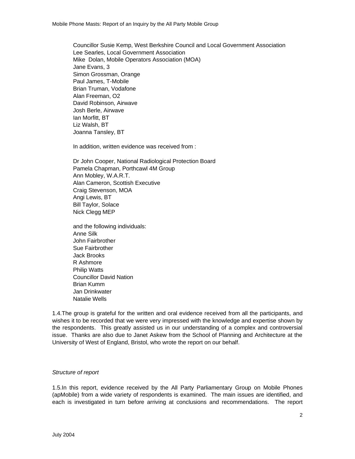Councillor Susie Kemp, West Berkshire Council and Local Government Association Lee Searles, Local Government Association Mike Dolan, Mobile Operators Association (MOA) Jane Evans, 3 Simon Grossman, Orange Paul James, T-Mobile Brian Truman, Vodafone Alan Freeman, O2 David Robinson, Airwave Josh Berle, Airwave Ian Morfitt, BT Liz Walsh, BT Joanna Tansley, BT

In addition, written evidence was received from :

Dr John Cooper, National Radiological Protection Board Pamela Chapman, Porthcawl 4M Group Ann Mobley, W.A.R.T. Alan Cameron, Scottish Executive Craig Stevenson, MOA Angi Lewis, BT Bill Taylor, Solace Nick Clegg MEP

and the following individuals: Anne Silk John Fairbrother Sue Fairbrother Jack Brooks R Ashmore Philip Watts Councillor David Nation Brian Kumm Jan Drinkwater Natalie Wells

1.4.The group is grateful for the written and oral evidence received from all the participants, and wishes it to be recorded that we were very impressed with the knowledge and expertise shown by the respondents. This greatly assisted us in our understanding of a complex and controversial issue. Thanks are also due to Janet Askew from the School of Planning and Architecture at the University of West of England, Bristol, who wrote the report on our behalf.

#### Structure of report

1.5.In this report, evidence received by the All Party Parliamentary Group on Mobile Phones (apMobile) from a wide variety of respondents is examined. The main issues are identified, and each is investigated in turn before arriving at conclusions and recommendations. The report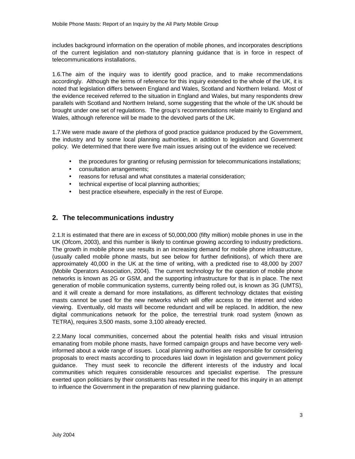includes background information on the operation of mobile phones, and incorporates descriptions of the current legislation and non-statutory planning guidance that is in force in respect of telecommunications installations.

1.6.The aim of the inquiry was to identify good practice, and to make recommendations accordingly. Although the terms of reference for this inquiry extended to the whole of the UK, it is noted that legislation differs between England and Wales, Scotland and Northern Ireland. Most of the evidence received referred to the situation in England and Wales, but many respondents drew parallels with Scotland and Northern Ireland, some suggesting that the whole of the UK should be brought under one set of regulations. The group's recommendations relate mainly to England and Wales, although reference will be made to the devolved parts of the UK.

1.7.We were made aware of the plethora of good practice guidance produced by the Government, the industry and by some local planning authorities, in addition to legislation and Government policy. We determined that there were five main issues arising out of the evidence we received:

- the procedures for granting or refusing permission for telecommunications installations;
- consultation arrangements;
- reasons for refusal and what constitutes a material consideration;
- technical expertise of local planning authorities;
- best practice elsewhere, especially in the rest of Europe.

## **2. The telecommunications industry**

2.1.It is estimated that there are in excess of 50,000,000 (fifty million) mobile phones in use in the UK (Ofcom, 2003), and this number is likely to continue growing according to industry predictions. The growth in mobile phone use results in an increasing demand for mobile phone infrastructure, (usually called mobile phone masts, but see below for further definitions), of which there are approximately 40,000 in the UK at the time of writing, with a predicted rise to 48,000 by 2007 (Mobile Operators Association, 2004). The current technology for the operation of mobile phone networks is known as 2G or GSM, and the supporting infrastructure for that is in place. The next generation of mobile communication systems, currently being rolled out, is known as 3G (UMTS), and it will create a demand for more installations, as different technology dictates that existing masts cannot be used for the new networks which will offer access to the internet and video viewing. Eventually, old masts will become redundant and will be replaced. In addition, the new digital communications network for the police, the terrestrial trunk road system (known as TETRA), requires 3,500 masts, some 3,100 already erected.

2.2.Many local communities, concerned about the potential health risks and visual intrusion emanating from mobile phone masts, have formed campaign groups and have become very wellinformed about a wide range of issues. Local planning authorities are responsible for considering proposals to erect masts according to procedures laid down in legislation and government policy guidance. They must seek to reconcile the different interests of the industry and local communities which requires considerable resources and specialist expertise. The pressure exerted upon politicians by their constituents has resulted in the need for this inquiry in an attempt to influence the Government in the preparation of new planning guidance.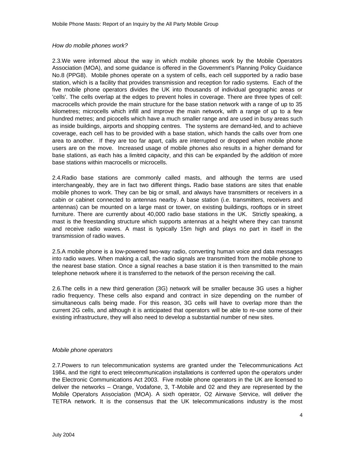#### How do mobile phones work?

2.3.We were informed about the way in which mobile phones work by the Mobile Operators Association (MOA), and some guidance is offered in the Government's Planning Policy Guidance No.8 (PPG8). Mobile phones operate on a system of cells, each cell supported by a radio base station, which is a facility that provides transmission and reception for radio systems. Each of the five mobile phone operators divides the UK into thousands of individual geographic areas or 'cells'. The cells overlap at the edges to prevent holes in coverage. There are three types of cell: macrocells which provide the main structure for the base station network with a range of up to 35 kilometres; microcells which infill and improve the main network, with a range of up to a few hundred metres; and picocells which have a much smaller range and are used in busy areas such as inside buildings, airports and shopping centres. The systems are demand-led, and to achieve coverage, each cell has to be provided with a base station, which hands the calls over from one area to another. If they are too far apart, calls are interrupted or dropped when mobile phone users are on the move. Increased usage of mobile phones also results in a higher demand for base stations, as each has a limited capacity, and this can be expanded by the addition of more base stations within macrocells or microcells.

2.4.Radio base stations are commonly called masts, and although the terms are used interchangeably, they are in fact two different things**.** Radio base stations are sites that enable mobile phones to work. They can be big or small, and always have transmitters or receivers in a cabin or cabinet connected to antennas nearby. A base station (i.e. transmitters, receivers and antennas) can be mounted on a large mast or tower, on existing buildings, rooftops or in street furniture. There are currently about 40,000 radio base stations in the UK. Strictly speaking, a mast is the freestanding structure which supports antennas at a height where they can transmit and receive radio waves. A mast is typically 15m high and plays no part in itself in the transmission of radio waves.

2.5.A mobile phone is a low-powered two-way radio, converting human voice and data messages into radio waves. When making a call, the radio signals are transmitted from the mobile phone to the nearest base station. Once a signal reaches a base station it is then transmitted to the main telephone network where it is transferred to the network of the person receiving the call.

2.6.The cells in a new third generation (3G) network will be smaller because 3G uses a higher radio frequency. These cells also expand and contract in size depending on the number of simultaneous calls being made. For this reason, 3G cells will have to overlap more than the current 2G cells, and although it is anticipated that operators will be able to re-use some of their existing infrastructure, they will also need to develop a substantial number of new sites.

#### Mobile phone operators

2.7.Powers to run telecommunication systems are granted under the Telecommunications Act 1984, and the right to erect telecommunication installations is conferred upon the operators under the Electronic Communications Act 2003. Five mobile phone operators in the UK are licensed to deliver the networks – Orange, Vodafone, 3, T-Mobile and 02 and they are represented by the Mobile Operators Association (MOA). A sixth operator, O2 Airwave Service, will deliver the TETRA network. It is the consensus that the UK telecommunications industry is the most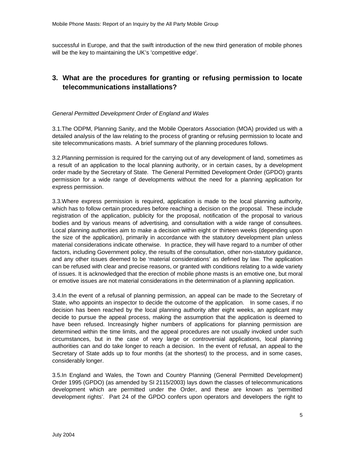successful in Europe, and that the swift introduction of the new third generation of mobile phones will be the key to maintaining the UK's 'competitive edge'.

## **3. What are the procedures for granting or refusing permission to locate telecommunications installations?**

#### General Permitted Development Order of England and Wales

3.1.The ODPM, Planning Sanity, and the Mobile Operators Association (MOA) provided us with a detailed analysis of the law relating to the process of granting or refusing permission to locate and site telecommunications masts. A brief summary of the planning procedures follows.

3.2.Planning permission is required for the carrying out of any development of land, sometimes as a result of an application to the local planning authority, or in certain cases, by a development order made by the Secretary of State. The General Permitted Development Order (GPDO) grants permission for a wide range of developments without the need for a planning application for express permission.

3.3.Where express permission is required, application is made to the local planning authority, which has to follow certain procedures before reaching a decision on the proposal. These include registration of the application, publicity for the proposal, notification of the proposal to various bodies and by various means of advertising, and consultation with a wide range of consultees. Local planning authorities aim to make a decision within eight or thirteen weeks (depending upon the size of the application), primarily in accordance with the statutory development plan unless material considerations indicate otherwise. In practice, they will have regard to a number of other factors, including Government policy, the results of the consultation, other non-statutory guidance, and any other issues deemed to be 'material considerations' as defined by law. The application can be refused with clear and precise reasons, or granted with conditions relating to a wide variety of issues. It is acknowledged that the erection of mobile phone masts is an emotive one, but moral or emotive issues are not material considerations in the determination of a planning application.

3.4.In the event of a refusal of planning permission, an appeal can be made to the Secretary of State, who appoints an inspector to decide the outcome of the application. In some cases, if no decision has been reached by the local planning authority after eight weeks, an applicant may decide to pursue the appeal process, making the assumption that the application is deemed to have been refused. Increasingly higher numbers of applications for planning permission are determined within the time limits, and the appeal procedures are not usually invoked under such circumstances, but in the case of very large or controversial applications, local planning authorities can and do take longer to reach a decision. In the event of refusal, an appeal to the Secretary of State adds up to four months (at the shortest) to the process, and in some cases, considerably longer.

3.5.In England and Wales, the Town and Country Planning (General Permitted Development) Order 1995 (GPDO) (as amended by SI 2115/2003) lays down the classes of telecommunications development which are permitted under the Order, and these are known as 'permitted development rights'. Part 24 of the GPDO confers upon operators and developers the right to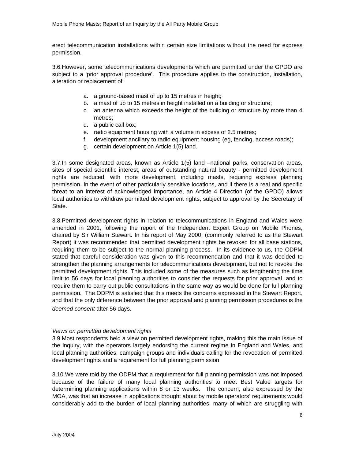erect telecommunication installations within certain size limitations without the need for express permission.

3.6.However, some telecommunications developments which are permitted under the GPDO are subject to a 'prior approval procedure'. This procedure applies to the construction, installation, alteration or replacement of:

- a. a ground-based mast of up to 15 metres in height;
- b. a mast of up to 15 metres in height installed on a building or structure;
- c. an antenna which exceeds the height of the building or structure by more than 4 metres;
- d. a public call box;
- e. radio equipment housing with a volume in excess of 2.5 metres;
- f. development ancillary to radio equipment housing (eg, fencing, access roads);
- g. certain development on Article 1(5) land.

3.7.In some designated areas, known as Article 1(5) land –national parks, conservation areas, sites of special scientific interest, areas of outstanding natural beauty - permitted development rights are reduced, with more development, including masts, requiring express planning permission. In the event of other particularly sensitive locations, and if there is a real and specific threat to an interest of acknowledged importance, an Article 4 Direction (of the GPDO) allows local authorities to withdraw permitted development rights, subject to approval by the Secretary of State.

3.8.Permitted development rights in relation to telecommunications in England and Wales were amended in 2001, following the report of the Independent Expert Group on Mobile Phones, chaired by Sir William Stewart. In his report of May 2000, (commonly referred to as the Stewart Report) it was recommended that permitted development rights be revoked for all base stations, requiring them to be subject to the normal planning process. In its evidence to us, the ODPM stated that careful consideration was given to this recommendation and that it was decided to strengthen the planning arrangements for telecommunications development, but not to revoke the permitted development rights. This included some of the measures such as lengthening the time limit to 56 days for local planning authorities to consider the requests for prior approval, and to require them to carry out public consultations in the same way as would be done for full planning permission. The ODPM is satisfied that this meets the concerns expressed in the Stewart Report, and that the only difference between the prior approval and planning permission procedures is the deemed consent after 56 days.

#### Views on permitted development rights

3.9.Most respondents held a view on permitted development rights, making this the main issue of the inquiry, with the operators largely endorsing the current regime in England and Wales, and local planning authorities, campaign groups and individuals calling for the revocation of permitted development rights and a requirement for full planning permission.

3.10.We were told by the ODPM that a requirement for full planning permission was not imposed because of the failure of many local planning authorities to meet Best Value targets for determining planning applications within 8 or 13 weeks. The concern, also expressed by the MOA, was that an increase in applications brought about by mobile operators' requirements would considerably add to the burden of local planning authorities, many of which are struggling with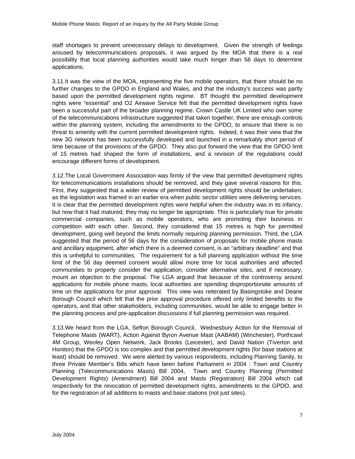staff shortages to prevent unnecessary delays to development. Given the strength of feelings aroused by telecommunications proposals, it was argued by the MOA that there is a real possibility that local planning authorities would take much longer than 56 days to determine applications.

3.11.It was the view of the MOA, representing the five mobile operators, that there should be no further changes to the GPDO in England and Wales, and that the industry's success was partly based upon the permitted development rights regime. BT thought the permitted development rights were "essential" and O2 Airwave Service felt that the permitted development rights have been a successful part of the broader planning regime. Crown Castle UK Limited who own some of the telecommunications infrastructure suggested that taken together, there are enough controls within the planning system, including the amendments to the GPDO, to ensure that there is no threat to amenity with the current permitted development rights. Indeed, it was their view that the new 3G network has been successfully developed and launched in a remarkably short period of time because of the provisions of the GPDO. They also put forward the view that the GPDO limit of 15 metres had shaped the form of installations, and a revision of the regulations could encourage different forms of development.

3.12.The Local Government Association was firmly of the view that permitted development rights for telecommunications installations should be removed, and they gave several reasons for this. First, they suggested that a wider review of permitted development rights should be undertaken, as the legislation was framed in an earlier era when public sector utilities were delivering services. It is clear that the permitted development rights were helpful when the industry was in its infancy, but now that it had matured, they may no longer be appropriate. This is particularly true for private commercial companies, such as mobile operators, who are promoting their business in competition with each other. Second, they considered that 15 metres is high for permitted development, going well beyond the limits normally requiring planning permission. Third, the LGA suggested that the period of 56 days for the consideration of proposals for mobile phone masts and ancillary equipment, after which there is a deemed consent, is an "arbitrary deadline" and that this is unhelpful to communities. The requirement for a full planning application without the time limit of the 56 day deemed consent would allow more time for local authorities and affected communities to properly consider the application, consider alternative sites, and if necessary, mount an objection to the proposal. The LGA argued that because of the controversy around applications for mobile phone masts, local authorities are spending disproportionate amounts of time on the applications for prior approval. This view was reiterated by Basingstoke and Deane Borough Council which felt that the prior approval procedure offered only limited benefits to the operators, and that other stakeholders, including communities, would be able to engage better in the planning process and pre-application discussions if full planning permission was required.

3.13.We heard from the LGA, Sefton Borough Council, Wednesbury Action for the Removal of Telephone Masts (WART), Action Against Byron Avenue Mast (AABAM) (Winchester), Porthcawl 4M Group, Weoley Open Network, Jack Brooks (Leicester), and David Nation (Tiverton and Honiton) that the GPDO is too complex and that permitted development rights (for base stations at least) should be removed. We were alerted by various respondents, including Planning Sanity, to three Private Member's Bills which have been before Parliament in 2004 : Town and Country Planning (Telecommunications Masts) Bill 2004, Town and Country Planning (Permitted Development Rights) (Amendment) Bill 2004 and Masts (Registration) Bill 2004 which call respectively for the revocation of permitted development rights, amendments to the GPDO, and for the registration of all additions to masts and base stations (not just sites).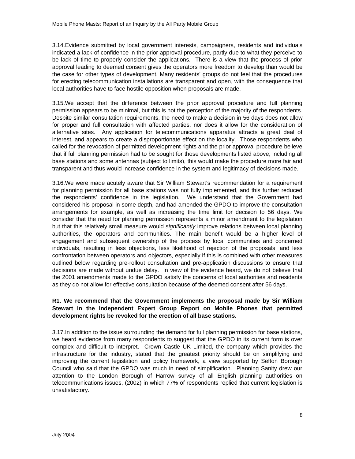3.14.Evidence submitted by local government interests, campaigners, residents and individuals indicated a lack of confidence in the prior approval procedure, partly due to what they perceive to be lack of time to properly consider the applications. There is a view that the process of prior approval leading to deemed consent gives the operators more freedom to develop than would be the case for other types of development. Many residents' groups do not feel that the procedures for erecting telecommunication installations are transparent and open, with the consequence that local authorities have to face hostile opposition when proposals are made.

3.15.We accept that the difference between the prior approval procedure and full planning permission appears to be minimal, but this is not the perception of the majority of the respondents. Despite similar consultation requirements, the need to make a decision in 56 days does not allow for proper and full consultation with affected parties, nor does it allow for the consideration of alternative sites. Any application for telecommunications apparatus attracts a great deal of interest, and appears to create a disproportionate effect on the locality. Those respondents who called for the revocation of permitted development rights and the prior approval procedure believe that if full planning permission had to be sought for those developments listed above, including all base stations and some antennas (subject to limits), this would make the procedure more fair and transparent and thus would increase confidence in the system and legitimacy of decisions made.

3.16.We were made acutely aware that Sir William Stewart's recommendation for a requirement for planning permission for all base stations was not fully implemented, and this further reduced the respondents' confidence in the legislation. We understand that the Government had considered his proposal in some depth, and had amended the GPDO to improve the consultation arrangements for example, as well as increasing the time limit for decision to 56 days. We consider that the need for planning permission represents a minor amendment to the legislation but that this relatively small measure would significantly improve relations between local planning authorities, the operators and communities. The main benefit would be a higher level of engagement and subsequent ownership of the process by local communities and concerned individuals, resulting in less objections, less likelihood of rejection of the proposals, and less confrontation between operators and objectors, especially if this is combined with other measures outlined below regarding pre-rollout consultation and pre-application discussions to ensure that decisions are made without undue delay. In view of the evidence heard, we do not believe that the 2001 amendments made to the GPDO satisfy the concerns of local authorities and residents as they do not allow for effective consultation because of the deemed consent after 56 days.

#### **R1. We recommend that the Government implements the proposal made by Sir William Stewart in the Independent Expert Group Report on Mobile Phones that permitted development rights be revoked for the erection of all base stations.**

3.17.In addition to the issue surrounding the demand for full planning permission for base stations, we heard evidence from many respondents to suggest that the GPDO in its current form is over complex and difficult to interpret. Crown Castle UK Limited, the company which provides the infrastructure for the industry, stated that the greatest priority should be on simplifying and improving the current legislation and policy framework, a view supported by Sefton Borough Council who said that the GPDO was much in need of simplification. Planning Sanity drew our attention to the London Borough of Harrow survey of all English planning authorities on telecommunications issues, (2002) in which 77% of respondents replied that current legislation is unsatisfactory.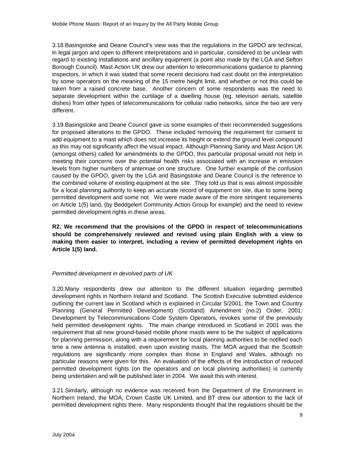3.18.Basingstoke and Deane Council's view was that the regulations in the GPDO are technical, in legal jargon and open to different interpretations and in particular, considered to be unclear with regard to existing installations and ancillary equipment (a point also made by the LGA and Sefton Borough Council). Mast Action UK drew our attention to telecommunications guidance to planning inspectors, in which it was stated that some recent decisions had cast doubt on the interpretation by some operators on the meaning of the 15 metre height limit, and whether or not this could be taken from a raised concrete base. Another concern of some respondents was the need to separate development within the curtilage of a dwelling house (eg. televison aerials, satellite dishes) from other types of telecommunications for cellular radio networks, since the two are very different.

3.19.Basingstoke and Deane Council gave us some examples of their recommended suggestions for proposed alterations to the GPDO. These included removing the requirement for consent to add equipment to a mast which does not increase its height or extend the ground level compound as this may not significantly affect the visual impact. Although Planning Sanity and Mast Action UK (amongst others) called for amendments to the GPDO, this particular proposal would not help in meeting their concerns over the potential health risks associated with an increase in emission levels from higher numbers of antennae on one structure. One further example of the confusion caused by the GPDO, given by the LGA and Basingstoke and Deane Council is the reference to the combined volume of existing equipment at the site. They told us that is was almost impossible for a local planning authority to keep an accurate record of equipment on site, due to some being permitted development and some not. We were made aware of the more stringent requirements on Article 1(5) land, (by Beddgelert Community Action Group for example) and the need to review permitted development rights in these areas.

**R2. We recommend that the provisions of the GPDO in respect of telecommunications should be comprehensively reviewed and revised using plain English with a view to making them easier to interpret, including a review of permitted development rights on Article 1(5) land.**

#### Permitted development in devolved parts of UK

3.20.Many respondents drew our attention to the different situation regarding permitted development rights in Northern Ireland and Scotland. The Scottish Executive submitted evidence outlining the current law in Scotland which is explained in Circular 5/2001, the Town and Country Planning (General Permitted Development) (Scotland) Amendment (no.2) Order, 2001: Development by Telecommunications Code System Operators, revokes some of the previously held permitted development rights. The main change introduced in Scotland in 2001 was the requirement that all new ground-based mobile phone masts were to be the subject of applications for planning permission, along with a requirement for local planning authorities to be notified each time a new antenna is installed, even upon existing masts. The MOA argued that the Scottish regulations are significantly more complex than those in England and Wales, although no particular reasons were given for this. An evaluation of the effects of the introduction of reduced permitted development rights (on the operators and on local planning authorities) is currently being undertaken and will be published later in 2004. We await this with interest.

3.21.Similarly, although no evidence was received from the Department of the Environment in Northern Ireland, the MOA, Crown Castle UK Limited, and BT drew our attention to the lack of permitted development rights there. Many respondents thought that the regulations should be the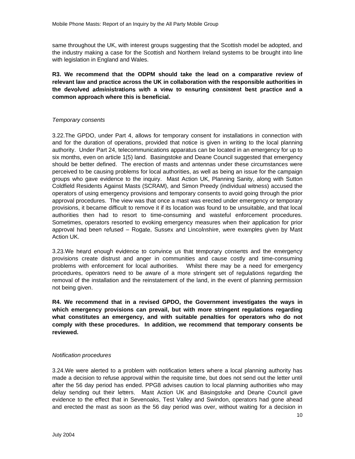same throughout the UK, with interest groups suggesting that the Scottish model be adopted, and the industry making a case for the Scottish and Northern Ireland systems to be brought into line with legislation in England and Wales.

**R3. We recommend that the ODPM should take the lead on a comparative review of relevant law and practice across the UK in collaboration with the responsible authorities in the devolved administrations with a view to ensuring consistent best practice and a common approach where this is beneficial.**

#### Temporary consents

3.22.The GPDO, under Part 4, allows for temporary consent for installations in connection with and for the duration of operations, provided that notice is given in writing to the local planning authority. Under Part 24, telecommunications apparatus can be located in an emergency for up to six months, even on article 1(5) land. Basingstoke and Deane Council suggested that emergency should be better defined. The erection of masts and antennas under these circumstances were perceived to be causing problems for local authorities, as well as being an issue for the campaign groups who gave evidence to the inquiry. Mast Action UK, Planning Sanity, along with Sutton Coldfield Residents Against Masts (SCRAM), and Simon Preedy (individual witness) accused the operators of using emergency provisions and temporary consents to avoid going through the prior approval procedures. The view was that once a mast was erected under emergency or temporary provisions, it became difficult to remove it if its location was found to be unsuitable, and that local authorities then had to resort to time-consuming and wasteful enforcement procedures. Sometimes, operators resorted to evoking emergency measures when their application for prior approval had been refused – Rogate, Sussex and Lincolnshire, were examples given by Mast Action UK.

3.23.We heard enough evidence to convince us that temporary consents and the emergency provisions create distrust and anger in communities and cause costly and time-consuming problems with enforcement for local authorities. Whilst there may be a need for emergency procedures, operators need to be aware of a more stringent set of regulations regarding the removal of the installation and the reinstatement of the land, in the event of planning permission not being given.

**R4. We recommend that in a revised GPDO, the Government investigates the ways in which emergency provisions can prevail, but with more stringent regulations regarding what constitutes an emergency, and with suitable penalties for operators who do not comply with these procedures. In addition, we recommend that temporary consents be reviewed.**

#### Notification procedures

3.24.We were alerted to a problem with notification letters where a local planning authority has made a decision to refuse approval within the requisite time, but does not send out the letter until after the 56 day period has ended. PPG8 advises caution to local planning authorities who may delay sending out their letters. Mast Action UK and Basingstoke and Deane Council gave evidence to the effect that in Sevenoaks, Test Valley and Swindon, operators had gone ahead and erected the mast as soon as the 56 day period was over, without waiting for a decision in

10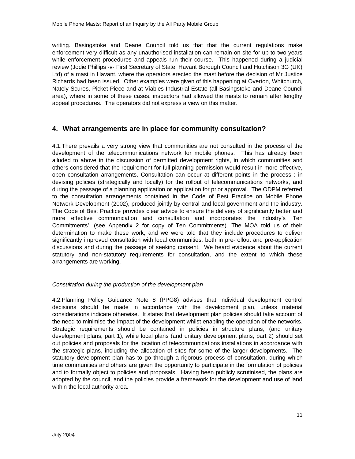writing. Basingstoke and Deane Council told us that that the current regulations make enforcement very difficult as any unauthorised installation can remain on site for up to two years while enforcement procedures and appeals run their course. This happened during a judicial review (Jodie Phillips -v- First Secretary of State, Havant Borough Council and Hutchison 3G (UK) Ltd) of a mast in Havant, where the operators erected the mast before the decision of Mr Justice Richards had been issued. Other examples were given of this happening at Overton, Whitchurch, Nately Scures, Picket Piece and at Viables Industrial Estate (all Basingstoke and Deane Council area), where in some of these cases, inspectors had allowed the masts to remain after lengthy appeal procedures. The operators did not express a view on this matter.

## **4. What arrangements are in place for community consultation?**

4.1.There prevails a very strong view that communities are not consulted in the process of the development of the telecommunications network for mobile phones. This has already been alluded to above in the discussion of permitted development rights, in which communities and others considered that the requirement for full planning permission would result in more effective, open consultation arrangements. Consultation can occur at different points in the process : in devising policies (strategically and locally) for the rollout of telecommunications networks, and during the passage of a planning application or application for prior approval. The ODPM referred to the consultation arrangements contained in the Code of Best Practice on Mobile Phone Network Development (2002), produced jointly by central and local government and the industry. The Code of Best Practice provides clear advice to ensure the delivery of significantly better and more effective communication and consultation and incorporates the industry's 'Ten Commitments'. (see Appendix 2 for copy of Ten Commitments). The MOA told us of their determination to make these work, and we were told that they include procedures to deliver significantly improved consultation with local communities, both in pre-rollout and pre-application discussions and during the passage of seeking consent. We heard evidence about the current statutory and non-statutory requirements for consultation, and the extent to which these arrangements are working.

#### Consultation during the production of the development plan

4.2.Planning Policy Guidance Note 8 (PPG8) advises that individual development control decisions should be made in accordance with the development plan, unless material considerations indicate otherwise. It states that development plan policies should take account of the need to minimise the impact of the development whilst enabling the operation of the networks. Strategic requirements should be contained in policies in structure plans, (and unitary development plans, part 1), while local plans (and unitary development plans, part 2) should set out policies and proposals for the location of telecommunications installations in accordance with the strategic plans, including the allocation of sites for some of the larger developments. The statutory development plan has to go through a rigorous process of consultation, during which time communities and others are given the opportunity to participate in the formulation of policies and to formally object to policies and proposals. Having been publicly scrutinised, the plans are adopted by the council, and the policies provide a framework for the development and use of land within the local authority area.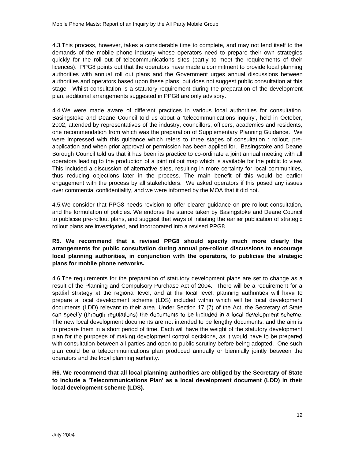4.3.This process, however, takes a considerable time to complete, and may not lend itself to the demands of the mobile phone industry whose operators need to prepare their own strategies quickly for the roll out of telecommunications sites (partly to meet the requirements of their licences). PPG8 points out that the operators have made a commitment to provide local planning authorities with annual roll out plans and the Government urges annual discussions between authorities and operators based upon these plans, but does not suggest public consultation at this stage. Whilst consultation is a statutory requirement during the preparation of the development plan, additional arrangements suggested in PPG8 are only advisory.

4.4.We were made aware of different practices in various local authorities for consultation. Basingstoke and Deane Council told us about a 'telecommunications inquiry', held in October, 2002, attended by representatives of the industry, councillors, officers, academics and residents, one recommendation from which was the preparation of Supplementary Planning Guidance. We were impressed with this guidance which refers to three stages of consultation : rollout, preapplication and when prior approval or permission has been applied for. Basingstoke and Deane Borough Council told us that it has been its practice to co-ordinate a joint annual meeting with all operators leading to the production of a joint rollout map which is available for the public to view. This included a discussion of alternative sites, resulting in more certainty for local communities, thus reducing objections later in the process. The main benefit of this would be earlier engagement with the process by all stakeholders. We asked operators if this posed any issues over commercial confidentiality, and we were informed by the MOA that it did not.

4.5.We consider that PPG8 needs revision to offer clearer guidance on pre-rollout consultation, and the formulation of policies. We endorse the stance taken by Basingstoke and Deane Council to publicise pre-rollout plans, and suggest that ways of initiating the earlier publication of strategic rollout plans are investigated, and incorporated into a revised PPG8.

### **R5. We recommend that a revised PPG8 should specify much more clearly the arrangements for public consultation during annual pre-rollout discussions to encourage local planning authorities, in conjunction with the operators, to publicise the strategic plans for mobile phone networks.**

4.6.The requirements for the preparation of statutory development plans are set to change as a result of the Planning and Compulsory Purchase Act of 2004. There will be a requirement for a spatial strategy at the regional level, and at the local level, planning authorities will have to prepare a local development scheme (LDS) included within which will be local development documents (LDD) relevant to their area. Under Section 17 (7) of the Act, the Secretary of State can specify (through regulations) the documents to be included in a local development scheme. The new local development documents are not intended to be lengthy documents, and the aim is to prepare them in a short period of time. Each will have the weight of the statutory development plan for the purposes of making development control decisions, as it would have to be prepared with consultation between all parties and open to public scrutiny before being adopted. One such plan could be a telecommunications plan produced annually or biennially jointly between the operators and the local planning authority.

### **R6. We recommend that all local planning authorities are obliged by the Secretary of State to include a 'Telecommunications Plan' as a local development document (LDD) in their local development scheme (LDS).**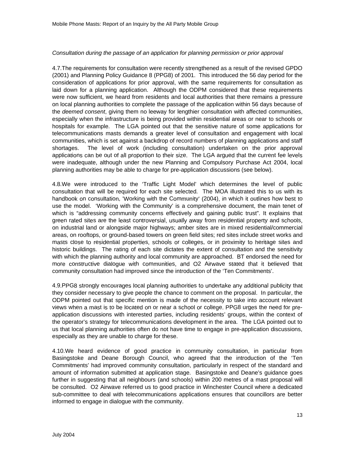#### Consultation during the passage of an application for planning permission or prior approval

4.7.The requirements for consultation were recently strengthened as a result of the revised GPDO (2001) and Planning Policy Guidance 8 (PPG8) of 2001. This introduced the 56 day period for the consideration of applications for prior approval, with the same requirements for consultation as laid down for a planning application. Although the ODPM considered that these requirements were now sufficient, we heard from residents and local authorities that there remains a pressure on local planning authorities to complete the passage of the application within 56 days because of the *deemed consent*, giving them no leeway for lengthier consultation with affected communities, especially when the infrastructure is being provided within residential areas or near to schools or hospitals for example. The LGA pointed out that the sensitive nature of some applications for telecommunications masts demands a greater level of consultation and engagement with local communities, which is set against a backdrop of record numbers of planning applications and staff shortages. The level of work (including consultation) undertaken on the prior approval applications can be out of all proportion to their size. The LGA argued that the current fee levels were inadequate, although under the new Planning and Compulsory Purchase Act 2004, local planning authorities may be able to charge for pre-application discussions (see below).

4.8.We were introduced to the 'Traffic Light Model' which determines the level of public consultation that will be required for each site selected. The MOA illustrated this to us with its handbook on consultation, 'Working with the Community' (2004), in which it outlines how best to use the model. 'Working with the Community' is a comprehensive document, the main tenet of which is "addressing community concerns effectively and gaining public trust". It explains that green rated sites are the least controversial, usually away from residential property and schools, on industrial land or alongside major highways; amber sites are in mixed residential/commercial areas, on rooftops, or ground-based towers on green field sites; red sites include street works and masts close to residential properties, schools or colleges, or in proximity to heritage sites and historic buildings. The rating of each site dictates the extent of consultation and the sensitivity with which the planning authority and local community are approached. BT endorsed the need for more constructive dialogue with communities, and O2 Airwave stated that it believed that community consultation had improved since the introduction of the 'Ten Commitments'.

4.9.PPG8 strongly encourages local planning authorities to undertake any additional publicity that they consider necessary to give people the chance to comment on the proposal. In particular, the ODPM pointed out that specific mention is made of the necessity to take into account relevant views when a mast is to be located on or near a school or college. PPG8 urges the need for preapplication discussions with interested parties, including residents' groups, within the context of the operator's strategy for telecommunications development in the area. The LGA pointed out to us that local planning authorities often do not have time to engage in pre-application discussions, especially as they are unable to charge for these.

4.10.We heard evidence of good practice in community consultation, in particular from Basingstoke and Deane Borough Council, who agreed that the introduction of the 'Ten Commitments' had improved community consultation, particularly in respect of the standard and amount of information submitted at application stage. Basingstoke and Deane's guidance goes further in suggesting that all neighbours (and schools) within 200 metres of a mast proposal will be consulted. O2 Airwave referred us to good practice in Winchester Council where a dedicated sub-committee to deal with telecommunications applications ensures that councillors are better informed to engage in dialogue with the community.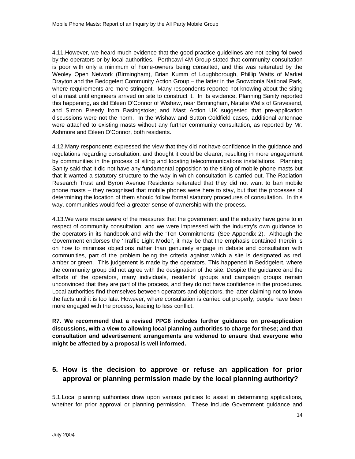4.11.However, we heard much evidence that the good practice guidelines are not being followed by the operators or by local authorities. Porthcawl 4M Group stated that community consultation is poor with only a minimum of home-owners being consulted, and this was reiterated by the Weoley Open Network (Birmingham), Brian Kumm of Loughborough, Phillip Watts of Market Drayton and the Beddgelert Community Action Group – the latter in the Snowdonia National Park, where requirements are more stringent. Many respondents reported not knowing about the siting of a mast until engineers arrived on site to construct it. In its evidence, Planning Sanity reported this happening, as did Eileen O'Connor of Wishaw, near Birmingham, Natalie Wells of Gravesend, and Simon Preedy from Basingstoke; and Mast Action UK suggested that pre-application discussions were not the norm. In the Wishaw and Sutton Coldfield cases, additional antennae were attached to existing masts without any further community consultation, as reported by Mr. Ashmore and Eileen O'Connor, both residents.

4.12.Many respondents expressed the view that they did not have confidence in the guidance and regulations regarding consultation, and thought it could be clearer, resulting in more engagement by communities in the process of siting and locating telecommunications installations. Planning Sanity said that it did not have any fundamental opposition to the siting of mobile phone masts but that it wanted a statutory structure to the way in which consultation is carried out. The Radiation Research Trust and Byron Avenue Residents reiterated that they did not want to ban mobile phone masts – they recognised that mobile phones were here to stay, but that the processes of determining the location of them should follow formal statutory procedures of consultation. In this way, communities would feel a greater sense of ownership with the process.

4.13.We were made aware of the measures that the government and the industry have gone to in respect of community consultation, and we were impressed with the industry's own guidance to the operators in its handbook and with the 'Ten Commitments' (See Appendix 2). Although the Government endorses the 'Traffic Light Model', it may be that the emphasis contained therein is on how to minimise objections rather than genuinely engage in debate and consultation with communities, part of the problem being the criteria against which a site is designated as red, amber or green. This judgement is made by the operators. This happened in Beddgelert, where the community group did not agree with the designation of the site. Despite the guidance and the efforts of the operators, many individuals, residents' groups and campaign groups remain unconvinced that they are part of the process, and they do not have confidence in the procedures. Local authorities find themselves between operators and objectors, the latter claiming not to know the facts until it is too late. However, where consultation is carried out properly, people have been more engaged with the process, leading to less conflict.

**R7. We recommend that a revised PPG8 includes further guidance on pre-application discussions, with a view to allowing local planning authorities to charge for these; and that consultation and advertisement arrangements are widened to ensure that everyone who might be affected by a proposal is well informed.**

## **5. How is the decision to approve or refuse an application for prior approval or planning permission made by the local planning authority?**

5.1.Local planning authorities draw upon various policies to assist in determining applications, whether for prior approval or planning permission. These include Government guidance and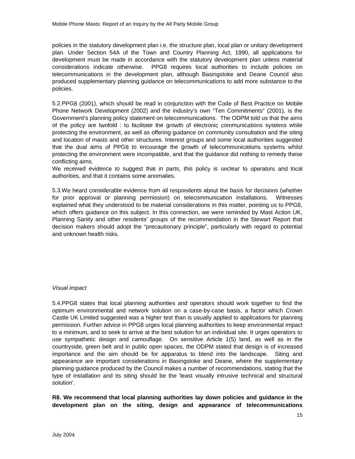policies in the statutory development plan i.e. the structure plan, local plan or unitary development plan. Under Section 54A of the Town and Country Planning Act, 1990, all applications for development must be made in accordance with the statutory development plan unless material considerations indicate otherwise. PPG8 requires local authorities to include policies on telecommunications in the development plan, although Basingstoke and Deane Council also produced supplementary planning guidance on telecommunications to add more substance to the policies.

5.2.PPG8 (2001), which should be read in conjunction with the Code of Best Practice on Mobile Phone Network Development (2002) and the industry's own "Ten Commitments" (2001), is the Government's planning policy statement on telecommunications. The ODPM told us that the aims of the policy are twofold : to facilitate the growth of electronic communications systems while protecting the environment, as well as offering guidance on community consultation and the siting and location of masts and other structures. Interest groups and some local authorities suggested that the dual aims of PPG8 to encourage the growth of telecommunications systems whilst protecting the environment were incompatible, and that the guidance did nothing to remedy these conflicting aims.

We received evidence to suggest that in parts, this policy is unclear to operators and local authorities, and that it contains some anomalies.

5.3.We heard considerable evidence from all respondents about the basis for decisions (whether for prior approval or planning permission) on telecommunication installations. Witnesses explained what they understood to be material considerations in this matter, pointing us to PPG8, which offers guidance on this subject. In this connection, we were reminded by Mast Action UK, Planning Sanity and other residents' groups of the recommendation in the Stewart Report that decision makers should adopt the "precautionary principle", particularly with regard to potential and unknown health risks.

#### Visual impact

5.4.PPG8 states that local planning authorities and operators should work together to find the optimum environmental and network solution on a case-by-case basis, a factor which Crown Castle UK Limited suggested was a higher test than is usually applied to applications for planning permission. Further advice in PPG8 urges local planning authorities to keep environmental impact to a minimum, and to seek to arrive at the best solution for an individual site. It urges operators to use sympathetic design and camouflage. On sensitive Article 1(5) land, as well as in the countryside, green belt and in public open spaces, the ODPM stated that design is of increased importance and the aim should be for apparatus to blend into the landscape. Siting and appearance are important considerations in Basingstoke and Deane, where the supplementary planning guidance produced by the Council makes a number of recommendations, stating that the type of installation and its siting should be the 'least visually intrusive technical and structural solution'.

**R8. We recommend that local planning authorities lay down policies and guidance in the development plan on the siting, design and appearance of telecommunications**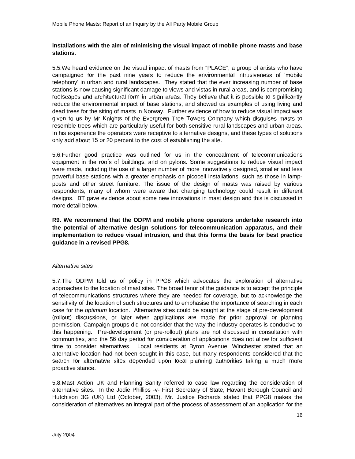#### **installations with the aim of minimising the visual impact of mobile phone masts and base stations.**

5.5.We heard evidence on the visual impact of masts from "PLACE", a group of artists who have campaigned for the past nine years to reduce the environmental intrusiveness of 'mobile telephony' in urban and rural landscapes. They stated that the ever increasing number of base stations is now causing significant damage to views and vistas in rural areas, and is compromising roofscapes and architectural form in urban areas. They believe that it is possible to significantly reduce the environmental impact of base stations, and showed us examples of using living and dead trees for the siting of masts in Norway. Further evidence of how to reduce visual impact was given to us by Mr Knights of the Evergreen Tree Towers Company which disguises masts to resemble trees which are particularly useful for both sensitive rural landscapes and urban areas. In his experience the operators were receptive to alternative designs, and these types of solutions only add about 15 or 20 percent to the cost of establishing the site.

5.6.Further good practice was outlined for us in the concealment of telecommunications equipment in the roofs of buildings, and on pylons. Some suggestions to reduce visual impact were made, including the use of a larger number of more innovatively designed, smaller and less powerful base stations with a greater emphasis on picocell installations, such as those in lampposts and other street furniture. The issue of the design of masts was raised by various respondents, many of whom were aware that changing technology could result in different designs. BT gave evidence about some new innovations in mast design and this is discussed in more detail below.

**R9. We recommend that the ODPM and mobile phone operators undertake research into the potential of alternative design solutions for telecommunication apparatus, and their implementation to reduce visual intrusion, and that this forms the basis for best practice guidance in a revised PPG8.**

#### Alternative sites

5.7.The ODPM told us of policy in PPG8 which advocates the exploration of alternative approaches to the location of mast sites. The broad tenor of the guidance is to accept the principle of telecommunications structures where they are needed for coverage, but to acknowledge the sensitivity of the location of such structures and to emphasise the importance of searching in each case for the optimum location. Alternative sites could be sought at the stage of pre-development (rollout) discussions, or later when applications are made for prior approval or planning permission. Campaign groups did not consider that the way the industry operates is conducive to this happening. Pre-development (or pre-rollout) plans are not discussed in consultation with communities, and the 56 day period for consideration of applications does not allow for sufficient time to consider alternatives. Local residents at Byron Avenue, Winchester stated that an alternative location had not been sought in this case, but many respondents considered that the search for alternative sites depended upon local planning authorities taking a much more proactive stance.

5.8.Mast Action UK and Planning Sanity referred to case law regarding the consideration of alternative sites. In the Jodie Phillips -v- First Secretary of State, Havant Borough Council and Hutchison 3G (UK) Ltd (October, 2003), Mr. Justice Richards stated that PPG8 makes the consideration of alternatives an integral part of the process of assessment of an application for the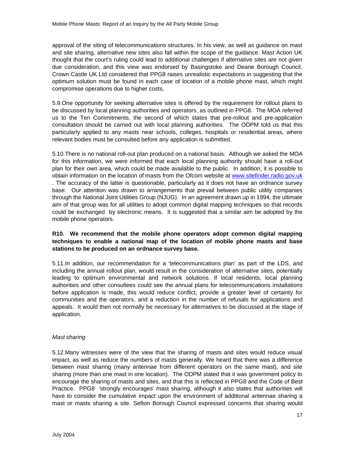approval of the siting of telecommunications structures. In his view, as well as guidance on mast and site sharing, alternative new sites also fall within the scope of the guidance. Mast Action UK thought that the court's ruling could lead to additional challenges if alternative sites are not given due consideration, and this view was endorsed by Basingstoke and Deane Borough Council. Crown Castle UK Ltd considered that PPG8 raises unrealistic expectations in suggesting that the optimum solution must be found in each case of location of a mobile phone mast, which might compromise operations due to higher costs.

5.9.One opportunity for seeking alternative sites is offered by the requirement for rollout plans to be discussed by local planning authorities and operators, as outlined in PPG8. The MOA referred us to the Ten Commitments, the second of which states that pre-rollout and pre-application consultation should be carried out with local planning authorities. The ODPM told us that this particularly applied to any masts near schools, colleges, hospitals or residential areas, where relevant bodies must be consulted before any application is submitted.

5.10.There is no national roll-out plan produced on a national basis. Although we asked the MOA for this information, we were informed that each local planning authority should have a roll-out plan for their own area, which could be made available to the public. In addition, it is possible to obtain information on the location of masts from the Ofcom website at www.sitefinder.radio.gov.uk . The accuracy of the latter is questionable, particularly as it does not have an ordnance survey base. Our attention was drawn to arrangements that prevail between public utility companies through the National Joint Utilities Group (NJUG). In an agreement drawn up in 1994, the ultimate aim of that group was for all utilities to adopt common digital mapping techniques so that records could be exchanged by electronic means. It is suggested that a similar aim be adopted by the mobile phone operators.

#### **R10. We recommend that the mobile phone operators adopt common digital mapping techniques to enable a national map of the location of mobile phone masts and base stations to be produced on an ordnance survey base.**

5.11.In addition, our recommendation for a 'telecommunications plan' as part of the LDS, and including the annual rollout plan, would result in the consideration of alternative sites, potentially leading to optimum environmental and network solutions. If local residents, local planning authorities and other consultees could see the annual plans for telecommunications installations before application is made, this would reduce conflict, provide a greater level of certainty for communities and the operators, and a reduction in the number of refusals for applications and appeals. It would then not normally be necessary for alternatives to be discussed at the stage of application.

#### Mast sharing

5.12.Many witnesses were of the view that the sharing of masts and sites would reduce visual impact, as well as reduce the numbers of masts generally. We heard that there was a difference between mast sharing (many antennae from different operators on the same mast), and site sharing (more than one mast in one location). The ODPM stated that it was government policy to encourage the sharing of masts and sites, and that this is reflected in PPG8 and the Code of Best Practice. PPG8 'strongly encourages' mast sharing, although it also states that authorities will have to consider the cumulative impact upon the environment of additional antennae sharing a mast or masts sharing a site. Sefton Borough Council expressed concerns that sharing would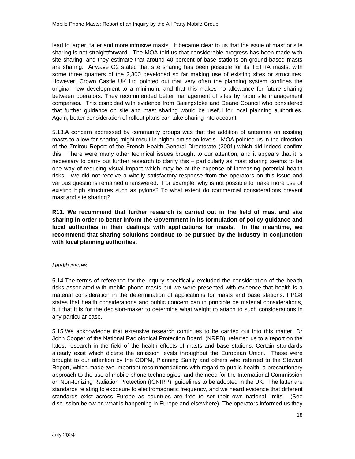lead to larger, taller and more intrusive masts. It became clear to us that the issue of mast or site sharing is not straightforward. The MOA told us that considerable progress has been made with site sharing, and they estimate that around 40 percent of base stations on ground-based masts are sharing. Airwave O2 stated that site sharing has been possible for its TETRA masts, with some three quarters of the 2,300 developed so far making use of existing sites or structures. However, Crown Castle UK Ltd pointed out that very often the planning system confines the original new development to a minimum, and that this makes no allowance for future sharing between operators. They recommended better management of sites by radio site management companies. This coincided with evidence from Basingstoke and Deane Council who considered that further guidance on site and mast sharing would be useful for local planning authorities. Again, better consideration of rollout plans can take sharing into account.

5.13.A concern expressed by community groups was that the addition of antennas on existing masts to allow for sharing might result in higher emission levels. MOA pointed us in the direction of the Zmirou Report of the French Health General Directorate (2001) which did indeed confirm this. There were many other technical issues brought to our attention, and it appears that it is necessary to carry out further research to clarify this – particularly as mast sharing seems to be one way of reducing visual impact which may be at the expense of increasing potential health risks. We did not receive a wholly satisfactory response from the operators on this issue and various questions remained unanswered. For example, why is not possible to make more use of existing high structures such as pylons? To what extent do commercial considerations prevent mast and site sharing?

**R11. We recommend that further research is carried out in the field of mast and site sharing in order to better inform the Government in its formulation of policy guidance and local authorities in their dealings with applications for masts. In the meantime, we recommend that sharing solutions continue to be pursued by the industry in conjunction with local planning authorities.**

#### Health issues

5.14.The terms of reference for the inquiry specifically excluded the consideration of the health risks associated with mobile phone masts but we were presented with evidence that health is a material consideration in the determination of applications for masts and base stations. PPG8 states that health considerations and public concern can in principle be material considerations, but that it is for the decision-maker to determine what weight to attach to such considerations in any particular case.

5.15.We acknowledge that extensive research continues to be carried out into this matter. Dr John Cooper of the National Radiological Protection Board (NRPB) referred us to a report on the latest research in the field of the health effects of masts and base stations. Certain standards already exist which dictate the emission levels throughout the European Union. These were brought to our attention by the ODPM, Planning Sanity and others who referred to the Stewart Report, which made two important recommendations with regard to public health: a precautionary approach to the use of mobile phone technologies; and the need for the International Commission on Non-Ionizing Radiation Protection (ICNIRP) guidelines to be adopted in the UK. The latter are standards relating to exposure to electromagnetic frequency, and we heard evidence that different standards exist across Europe as countries are free to set their own national limits. (See discussion below on what is happening in Europe and elsewhere). The operators informed us they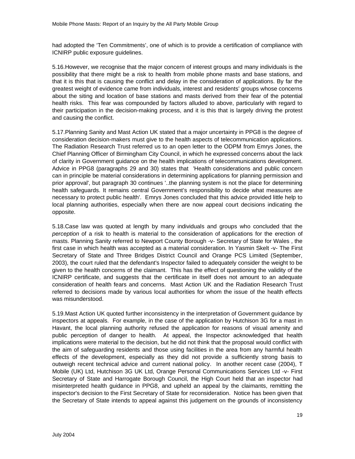had adopted the 'Ten Commitments', one of which is to provide a certification of compliance with ICNIRP public exposure guidelines.

5.16.However, we recognise that the major concern of interest groups and many individuals is the possibility that there might be a risk to health from mobile phone masts and base stations, and that it is this that is causing the conflict and delay in the consideration of applications. By far the greatest weight of evidence came from individuals, interest and residents' groups whose concerns about the siting and location of base stations and masts derived from their fear of the potential health risks. This fear was compounded by factors alluded to above, particularly with regard to their participation in the decision-making process, and it is this that is largely driving the protest and causing the conflict.

5.17.Planning Sanity and Mast Action UK stated that a major uncertainty in PPG8 is the degree of consideration decision-makers must give to the health aspects of telecommunication applications. The Radiation Research Trust referred us to an open letter to the ODPM from Emrys Jones, the Chief Planning Officer of Birmingham City Council, in which he expressed concerns about the lack of clarity in Government guidance on the health implications of telecommunications development. Advice in PPG8 (paragraphs 29 and 30) states that 'Health considerations and public concern can in principle be material considerations in determining applications for planning permission and prior approval', but paragraph 30 continues '..the planning system is not the place for determining health safeguards. It remains central Government's responsibility to decide what measures are necessary to protect public health'. Emrys Jones concluded that this advice provided little help to local planning authorities, especially when there are now appeal court decisions indicating the opposite.

5.18.Case law was quoted at length by many individuals and groups who concluded that the perception of a risk to health is material to the consideration of applications for the erection of masts. Planning Sanity referred to Newport County Borough -v- Secretary of State for Wales , the first case in which health was accepted as a material consideration. In Yasmin Skelt -v- The First Secretary of State and Three Bridges District Council and Orange PCS Limited (September, 2003), the court ruled that the defendant's Inspector failed to adequately consider the weight to be given to the health concerns of the claimant. This has the effect of questioning the validity of the ICNIRP certificate, and suggests that the certificate in itself does not amount to an adequate consideration of health fears and concerns. Mast Action UK and the Radiation Research Trust referred to decisions made by various local authorities for whom the issue of the health effects was misunderstood.

5.19.Mast Action UK quoted further inconsistency in the interpretation of Government guidance by inspectors at appeals. For example, in the case of the application by Hutchison 3G for a mast in Havant, the local planning authority refused the application for reasons of visual amenity and public perception of danger to health. At appeal, the Inspector acknowledged that health implications were material to the decision, but he did not think that the proposal would conflict with the aim of safeguarding residents and those using facilities in the area from any harmful health effects of the development, especially as they did not provide a sufficiently strong basis to outweigh recent technical advice and current national policy. In another recent case (2004), T Mobile (UK) Ltd, Hutchison 3G UK Ltd, Orange Personal Communications Services Ltd -v- First Secretary of State and Harrogate Borough Council, the High Court held that an inspector had misinterpreted health guidance in PPG8, and upheld an appeal by the claimants, remitting the inspector's decision to the First Secretary of State for reconsideration. Notice has been given that the Secretary of State intends to appeal against this judgement on the grounds of inconsistency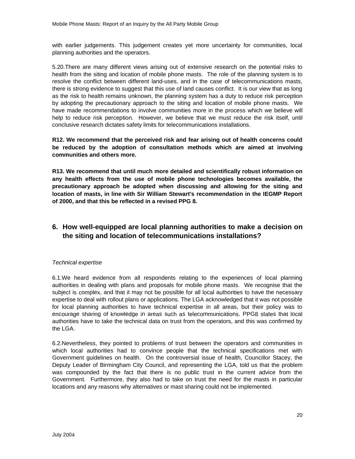with earlier judgements. This judgement creates yet more uncertainty for communities, local planning authorities and the operators.

5.20.There are many different views arising out of extensive research on the potential risks to health from the siting and location of mobile phone masts. The role of the planning system is to resolve the conflict between different land-uses, and in the case of telecommunications masts, there is strong evidence to suggest that this use of land causes conflict. It is our view that as long as the risk to health remains unknown, the planning system has a duty to reduce risk perception by adopting the precautionary approach to the siting and location of mobile phone masts. We have made recommendations to involve communities more in the process which we believe will help to reduce risk perception. However, we believe that we must reduce the risk itself, until conclusive research dictates safety limits for telecommunications installations.

**R12. We recommend that the perceived risk and fear arising out of health concerns could be reduced by the adoption of consultation methods which are aimed at involving communities and others more.**

**R13. We recommend that until much more detailed and scientifically robust information on any health effects from the use of mobile phone technologies becomes available, the precautionary approach be adopted when discussing and allowing for the siting and location of masts, in line with Sir William Stewart's recommendation in the IEGMP Report of 2000, and that this be reflected in a revised PPG 8.**

## **6. How well-equipped are local planning authorities to make a decision on the siting and location of telecommunications installations?**

#### Technical expertise

6.1.We heard evidence from all respondents relating to the experiences of local planning authorities in dealing with plans and proposals for mobile phone masts. We recognise that the subject is complex, and that it may not be possible for all local authorities to have the necessary expertise to deal with rollout plans or applications. The LGA acknowledged that it was not possible for local planning authorities to have technical expertise in all areas, but their policy was to encourage sharing of knowledge in areas such as telecommunications. PPG8 states that local authorities have to take the technical data on trust from the operators, and this was confirmed by the LGA.

6.2.Nevertheless, they pointed to problems of trust between the operators and communities in which local authorities had to convince people that the technical specifications met with Government guidelines on health. On the controversial issue of health, Councillor Stacey, the Deputy Leader of Birmingham City Council, and representing the LGA, told us that the problem was compounded by the fact that there is no public trust in the current advice from the Government. Furthermore, they also had to take on trust the need for the masts in particular locations and any reasons why alternatives or mast sharing could not be implemented.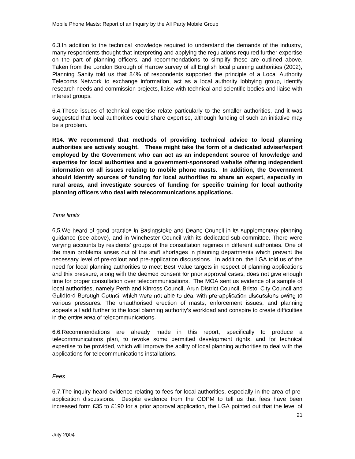6.3.In addition to the technical knowledge required to understand the demands of the industry, many respondents thought that interpreting and applying the regulations required further expertise on the part of planning officers, and recommendations to simplify these are outlined above. Taken from the London Borough of Harrow survey of all English local planning authorities (2002), Planning Sanity told us that 84% of respondents supported the principle of a Local Authority Telecoms Network to exchange information, act as a local authority lobbying group, identify research needs and commission projects, liaise with technical and scientific bodies and liaise with interest groups.

6.4.These issues of technical expertise relate particularly to the smaller authorities, and it was suggested that local authorities could share expertise, although funding of such an initiative may be a problem.

**R14. We recommend that methods of providing technical advice to local planning authorities are actively sought. These might take the form of a dedicated adviser/expert employed by the Government who can act as an independent source of knowledge and expertise for local authorities and a government-sponsored website offering independent information on all issues relating to mobile phone masts. In addition, the Government should identify sources of funding for local authorities to share an expert, especially in rural areas, and investigate sources of funding for specific training for local authority planning officers who deal with telecommunications applications.**

#### Time limits

6.5.We heard of good practice in Basingstoke and Deane Council in its supplementary planning guidance (see above), and in Winchester Council with its dedicated sub-committee. There were varying accounts by residents' groups of the consultation regimes in different authorities. One of the main problems arises out of the staff shortages in planning departments which prevent the necessary level of pre-rollout and pre-application discussions. In addition, the LGA told us of the need for local planning authorities to meet Best Value targets in respect of planning applications and this pressure, along with the deemed consent for prior approval cases, does not give enough time for proper consultation over telecommunications. The MOA sent us evidence of a sample of local authorities, namely Perth and Kinross Council, Arun District Council, Bristol City Council and Guildford Borough Council which were not able to deal with pre-application discussions owing to various pressures. The unauthorised erection of masts, enforcement issues, and planning appeals all add further to the local planning authority's workload and conspire to create difficulties in the entire area of telecommunications.

6.6.Recommendations are already made in this report, specifically to produce a telecommunications plan, to revoke some permitted development rights, and for technical expertise to be provided, which will improve the ability of local planning authorities to deal with the applications for telecommunications installations.

#### Fees

6.7.The inquiry heard evidence relating to fees for local authorities, especially in the area of preapplication discussions. Despite evidence from the ODPM to tell us that fees have been increased form £35 to £190 for a prior approval application, the LGA pointed out that the level of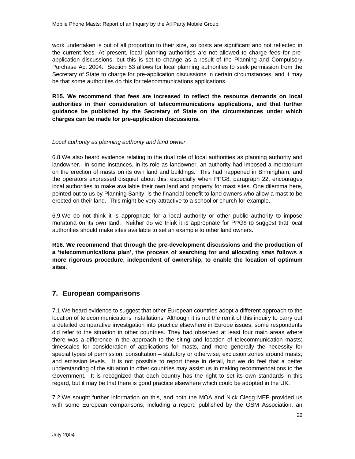work undertaken is out of all proportion to their size, so costs are significant and not reflected in the current fees. At present, local planning authorities are not allowed to charge fees for preapplication discussions, but this is set to change as a result of the Planning and Compulsory Purchase Act 2004. Section 53 allows for local planning authorities to seek permission from the Secretary of State to charge for pre-application discussions in certain circumstances, and it may be that some authorities do this for telecommunications applications.

**R15. We recommend that fees are increased to reflect the resource demands on local authorities in their consideration of telecommunications applications, and that further guidance be published by the Secretary of State on the circumstances under which charges can be made for pre-application discussions.**

#### Local authority as planning authority and land owner

6.8.We also heard evidence relating to the dual role of local authorities as planning authority and landowner. In some instances, in its role as landowner, an authority had imposed a moratorium on the erection of masts on its own land and buildings. This had happened in Birmingham, and the operators expressed disquiet about this, especially when PPG8, paragraph 22, encourages local authorities to make available their own land and property for mast sites. One dilemma here, pointed out to us by Planning Sanity, is the financial benefit to land owners who allow a mast to be erected on their land. This might be very attractive to a school or church for example.

6.9.We do not think it is appropriate for a local authority or other public authority to impose moratoria on its own land. Neither do we think it is appropriate for PPG8 to suggest that local authorities should make sites available to set an example to other land owners.

**R16. We recommend that through the pre-development discussions and the production of a 'telecommunications plan', the process of searching for and allocating sites follows a more rigorous procedure, independent of ownership, to enable the location of optimum sites.**

## **7. European comparisons**

7.1.We heard evidence to suggest that other European countries adopt a different approach to the location of telecommunications installations. Although it is not the remit of this inquiry to carry out a detailed comparative investigation into practice elsewhere in Europe issues, some respondents did refer to the situation in other countries. They had observed at least four main areas where there was a difference in the approach to the siting and location of telecommunication masts: timescales for consideration of applications for masts, and more generally the necessity for special types of permission; consultation – statutory or otherwise; exclusion zones around masts; and emission levels. It is not possible to report these in detail, but we do feel that a better understanding of the situation in other countries may assist us in making recommendations to the Government. It is recognized that each country has the right to set its own standards in this regard, but it may be that there is good practice elsewhere which could be adopted in the UK.

7.2.We sought further information on this, and both the MOA and Nick Clegg MEP provided us with some European comparisons, including a report, published by the GSM Association, an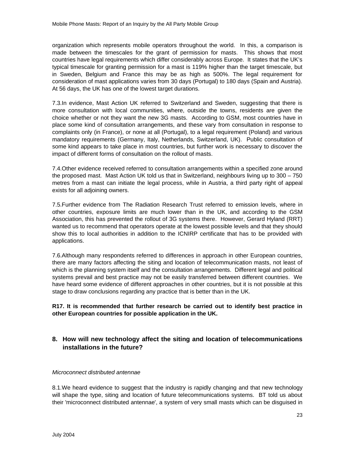organization which represents mobile operators throughout the world. In this, a comparison is made between the timescales for the grant of permission for masts. This shows that most countries have legal requirements which differ considerably across Europe. It states that the UK's typical timescale for granting permission for a mast is 119% higher than the target timescale, but in Sweden, Belgium and France this may be as high as 500%. The legal requirement for consideration of mast applications varies from 30 days (Portugal) to 180 days (Spain and Austria). At 56 days, the UK has one of the lowest target durations.

7.3.In evidence, Mast Action UK referred to Switzerland and Sweden, suggesting that there is more consultation with local communities, where, outside the towns, residents are given the choice whether or not they want the new 3G masts. According to GSM, most countries have in place some kind of consultation arrangements, and these vary from consultation in response to complaints only (in France), or none at all (Portugal), to a legal requirement (Poland) and various mandatory requirements (Germany, Italy, Netherlands, Switzerland, UK). Public consultation of some kind appears to take place in most countries, but further work is necessary to discover the impact of different forms of consultation on the rollout of masts.

7.4.Other evidence received referred to consultation arrangements within a specified zone around the proposed mast. Mast Action UK told us that in Switzerland, neighbours living up to  $300 - 750$ metres from a mast can initiate the legal process, while in Austria, a third party right of appeal exists for all adjoining owners.

7.5.Further evidence from The Radiation Research Trust referred to emission levels, where in other countries, exposure limits are much lower than in the UK, and according to the GSM Association, this has prevented the rollout of 3G systems there. However, Gerard Hyland (RRT) wanted us to recommend that operators operate at the lowest possible levels and that they should show this to local authorities in addition to the ICNIRP certificate that has to be provided with applications.

7.6.Although many respondents referred to differences in approach in other European countries, there are many factors affecting the siting and location of telecommunication masts, not least of which is the planning system itself and the consultation arrangements. Different legal and political systems prevail and best practice may not be easily transferred between different countries. We have heard some evidence of different approaches in other countries, but it is not possible at this stage to draw conclusions regarding any practice that is better than in the UK.

#### **R17. It is recommended that further research be carried out to identify best practice in other European countries for possible application in the UK.**

## **8. How will new technology affect the siting and location of telecommunications installations in the future?**

#### Microconnect distributed antennae

8.1.We heard evidence to suggest that the industry is rapidly changing and that new technology will shape the type, siting and location of future telecommunications systems. BT told us about their 'microconnect distributed antennae', a system of very small masts which can be disguised in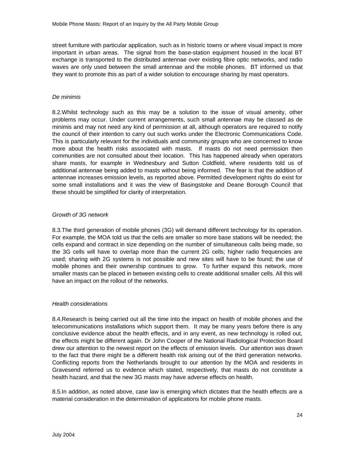street furniture with particular application, such as in historic towns or where visual impact is more important in urban areas. The signal from the base-station equipment housed in the local BT exchange is transported to the distributed antennae over existing fibre optic networks, and radio waves are only used between the small antennae and the mobile phones. BT informed us that they want to promote this as part of a wider solution to encourage sharing by mast operators.

#### De minimis

8.2.Whilst technology such as this may be a solution to the issue of visual amenity, other problems may occur. Under current arrangements, such small antennae may be classed as de minimis and may not need any kind of permission at all, although operators are required to notify the council of their intention to carry out such works under the Electronic Communications Code. This is particularly relevant for the individuals and community groups who are concerned to know more about the health risks associated with masts. If masts do not need permission then communities are not consulted about their location. This has happened already when operators share masts, for example in Wednesbury and Sutton Coldfield, where residents told us of additional antennae being added to masts without being informed. The fear is that the addition of antennae increases emission levels, as reported above. Permitted development rights do exist for some small installations and it was the view of Basingstoke and Deane Borough Council that these should be simplified for clarity of interpretation.

#### Growth of 3G network

8.3.The third generation of mobile phones (3G) will demand different technology for its operation. For example, the MOA told us that the cells are smaller so more base stations will be needed; the cells expand and contract in size depending on the number of simultaneous calls being made, so the 3G cells will have to overlap more than the current 2G cells; higher radio frequencies are used; sharing with 2G systems is not possible and new sites will have to be found; the use of mobile phones and their ownership continues to grow. To further expand this network, more smaller masts can be placed in between existing cells to create additional smaller cells. All this will have an impact on the rollout of the networks.

#### Health considerations

8.4.Research is being carried out all the time into the impact on health of mobile phones and the telecommunications installations which support them. It may be many years before there is any conclusive evidence about the health effects, and in any event, as new technology is rolled out, the effects might be different again. Dr John Cooper of the National Radiological Protection Board drew our attention to the newest report on the effects of emission levels. Our attention was drawn to the fact that there might be a different health risk arising out of the third generation networks. Conflicting reports from the Netherlands brought to our attention by the MOA and residents in Gravesend referred us to evidence which stated, respectively, that masts do not constitute a health hazard, and that the new 3G masts may have adverse effects on health.

8.5.In addition, as noted above, case law is emerging which dictates that the health effects are a material consideration in the determination of applications for mobile phone masts.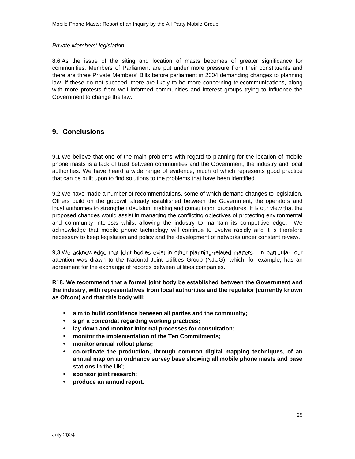#### Private Members' legislation

8.6.As the issue of the siting and location of masts becomes of greater significance for communities, Members of Parliament are put under more pressure from their constituents and there are three Private Members' Bills before parliament in 2004 demanding changes to planning law. If these do not succeed, there are likely to be more concerning telecommunications, along with more protests from well informed communities and interest groups trying to influence the Government to change the law.

## **9. Conclusions**

9.1.We believe that one of the main problems with regard to planning for the location of mobile phone masts is a lack of trust between communities and the Government, the industry and local authorities. We have heard a wide range of evidence, much of which represents good practice that can be built upon to find solutions to the problems that have been identified.

9.2.We have made a number of recommendations, some of which demand changes to legislation. Others build on the goodwill already established between the Government, the operators and local authorities to strengthen decision making and consultation procedures. It is our view that the proposed changes would assist in managing the conflicting objectives of protecting environmental and community interests whilst allowing the industry to maintain its competitive edge. We acknowledge that mobile phone technology will continue to evolve rapidly and it is therefore necessary to keep legislation and policy and the development of networks under constant review.

9.3.We acknowledge that joint bodies exist in other planning-related matters. In particular, our attention was drawn to the National Joint Utilities Group (NJUG), which, for example, has an agreement for the exchange of records between utilities companies.

**R18. We recommend that a formal joint body be established between the Government and the industry, with representatives from local authorities and the regulator (currently known as Ofcom) and that this body will:**

- **aim to build confidence between all parties and the community;**
- **sign a concordat regarding working practices;**
- **lay down and monitor informal processes for consultation;**
- **monitor the implementation of the Ten Commitments;**
- **monitor annual rollout plans;**
- **co-ordinate the production, through common digital mapping techniques, of an annual map on an ordnance survey base showing all mobile phone masts and base stations in the UK;**
- **sponsor joint research;**
- **produce an annual report.**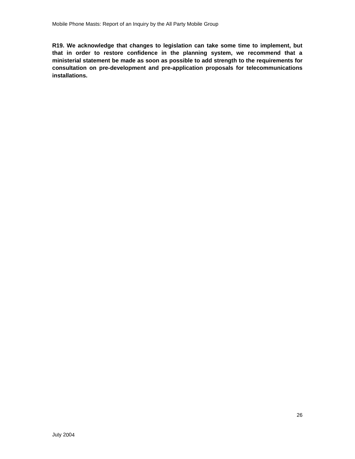**R19. We acknowledge that changes to legislation can take some time to implement, but that in order to restore confidence in the planning system, we recommend that a ministerial statement be made as soon as possible to add strength to the requirements for consultation on pre-development and pre-application proposals for telecommunications installations.**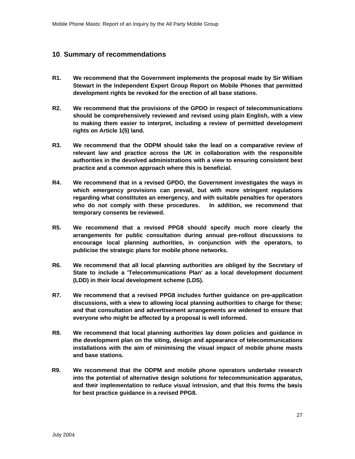## **10**. **Summary of recommendations**

- **R1. We recommend that the Government implements the proposal made by Sir William Stewart in the Independent Expert Group Report on Mobile Phones that permitted development rights be revoked for the erection of all base stations.**
- **R2. We recommend that the provisions of the GPDO in respect of telecommunications should be comprehensively reviewed and revised using plain English, with a view to making them easier to interpret, including a review of permitted development rights on Article 1(5) land.**
- **R3. We recommend that the ODPM should take the lead on a comparative review of relevant law and practice across the UK in collaboration with the responsible authorities in the devolved administrations with a view to ensuring consistent best practice and a common approach where this is beneficial.**
- **R4. We recommend that in a revised GPDO, the Government investigates the ways in which emergency provisions can prevail, but with more stringent regulations regarding what constitutes an emergency, and with suitable penalties for operators who do not comply with these procedures. In addition, we recommend that temporary consents be reviewed.**
- **R5. We recommend that a revised PPG8 should specify much more clearly the arrangements for public consultation during annual pre-rollout discussions to encourage local planning authorities, in conjunction with the operators, to publicise the strategic plans for mobile phone networks.**
- **R6. We recommend that all local planning authorities are obliged by the Secretary of State to include a 'Telecommunications Plan' as a local development document (LDD) in their local development scheme (LDS).**
- **R7. We recommend that a revised PPG8 includes further guidance on pre-application discussions, with a view to allowing local planning authorities to charge for these; and that consultation and advertisement arrangements are widened to ensure that everyone who might be affected by a proposal is well informed.**
- **R8. We recommend that local planning authorities lay down policies and guidance in the development plan on the siting, design and appearance of telecommunications installations with the aim of minimising the visual impact of mobile phone masts and base stations.**
- **R9. We recommend that the ODPM and mobile phone operators undertake research into the potential of alternative design solutions for telecommunication apparatus, and their implementation to reduce visual intrusion, and that this forms the basis for best practice guidance in a revised PPG8.**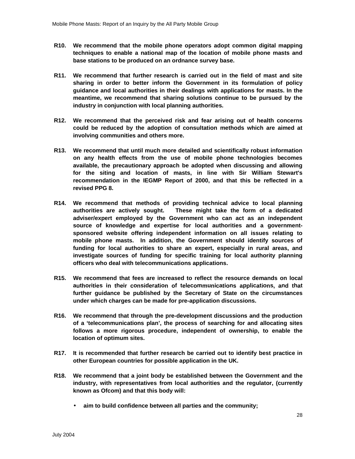- **R10. We recommend that the mobile phone operators adopt common digital mapping techniques to enable a national map of the location of mobile phone masts and base stations to be produced on an ordnance survey base.**
- **R11. We recommend that further research is carried out in the field of mast and site sharing in order to better inform the Government in its formulation of policy guidance and local authorities in their dealings with applications for masts. In the meantime, we recommend that sharing solutions continue to be pursued by the industry in conjunction with local planning authorities.**
- **R12. We recommend that the perceived risk and fear arising out of health concerns could be reduced by the adoption of consultation methods which are aimed at involving communities and others more.**
- **R13. We recommend that until much more detailed and scientifically robust information on any health effects from the use of mobile phone technologies becomes available, the precautionary approach be adopted when discussing and allowing for the siting and location of masts, in line with Sir William Stewart's recommendation in the IEGMP Report of 2000, and that this be reflected in a revised PPG 8.**
- **R14. We recommend that methods of providing technical advice to local planning authorities are actively sought. These might take the form of a dedicated adviser/expert employed by the Government who can act as an independent source of knowledge and expertise for local authorities and a governmentsponsored website offering independent information on all issues relating to mobile phone masts. In addition, the Government should identify sources of funding for local authorities to share an expert, especially in rural areas, and investigate sources of funding for specific training for local authority planning officers who deal with telecommunications applications.**
- **R15. We recommend that fees are increased to reflect the resource demands on local authorities in their consideration of telecommunications applications, and that further guidance be published by the Secretary of State on the circumstances under which charges can be made for pre-application discussions.**
- **R16. We recommend that through the pre-development discussions and the production of a 'telecommunications plan', the process of searching for and allocating sites follows a more rigorous procedure, independent of ownership, to enable the location of optimum sites.**
- **R17. It is recommended that further research be carried out to identify best practice in other European countries for possible application in the UK.**
- **R18. We recommend that a joint body be established between the Government and the industry, with representatives from local authorities and the regulator, (currently known as Ofcom) and that this body will:**
	- **aim to build confidence between all parties and the community;**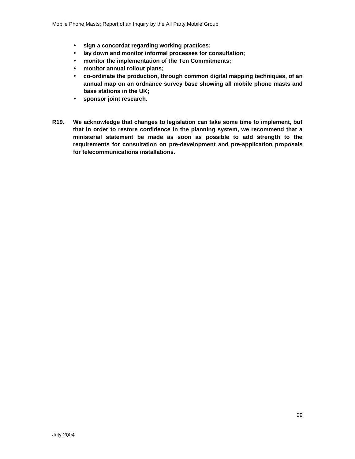- **sign a concordat regarding working practices;**
- **lay down and monitor informal processes for consultation;**
- **monitor the implementation of the Ten Commitments;**
- **monitor annual rollout plans;**
- **co-ordinate the production, through common digital mapping techniques, of an annual map on an ordnance survey base showing all mobile phone masts and base stations in the UK;**
- **sponsor joint research.**
- **R19. We acknowledge that changes to legislation can take some time to implement, but that in order to restore confidence in the planning system, we recommend that a ministerial statement be made as soon as possible to add strength to the requirements for consultation on pre-development and pre-application proposals for telecommunications installations.**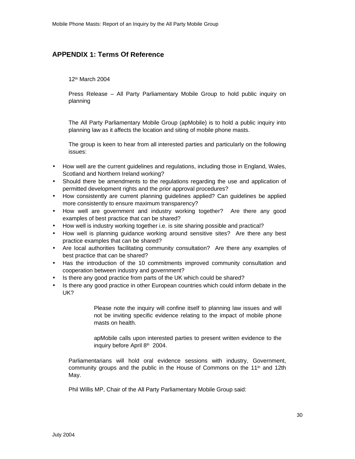## **APPENDIX 1: Terms Of Reference**

12 th March 2004

Press Release – All Party Parliamentary Mobile Group to hold public inquiry on planning

The All Party Parliamentary Mobile Group (apMobile) is to hold a public inquiry into planning law as it affects the location and siting of mobile phone masts.

The group is keen to hear from all interested parties and particularly on the following issues:

- How well are the current guidelines and regulations, including those in England, Wales, Scotland and Northern Ireland working?
- Should there be amendments to the regulations regarding the use and application of permitted development rights and the prior approval procedures?
- How consistently are current planning guidelines applied? Can guidelines be applied more consistently to ensure maximum transparency?
- How well are government and industry working together? Are there any good examples of best practice that can be shared?
- How well is industry working together i.e. is site sharing possible and practical?
- How well is planning guidance working around sensitive sites? Are there any best practice examples that can be shared?
- Are local authorities facilitating community consultation? Are there any examples of best practice that can be shared?
- Has the introduction of the 10 commitments improved community consultation and cooperation between industry and government?
- Is there any good practice from parts of the UK which could be shared?
- Is there any good practice in other European countries which could inform debate in the UK?

Please note the inquiry will confine itself to planning law issues and will not be inviting specific evidence relating to the impact of mobile phone masts on health.

apMobile calls upon interested parties to present written evidence to the inquiry before April 8<sup>th</sup> 2004.

Parliamentarians will hold oral evidence sessions with industry, Government, community groups and the public in the House of Commons on the  $11<sup>th</sup>$  and  $12th$ May.

Phil Willis MP, Chair of the All Party Parliamentary Mobile Group said: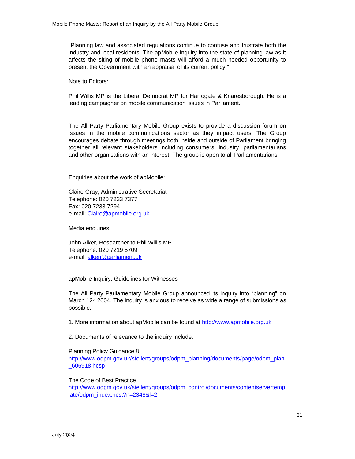"Planning law and associated regulations continue to confuse and frustrate both the industry and local residents. The apMobile inquiry into the state of planning law as it affects the siting of mobile phone masts will afford a much needed opportunity to present the Government with an appraisal of its current policy."

Note to Editors:

Phil Willis MP is the Liberal Democrat MP for Harrogate & Knaresborough. He is a leading campaigner on mobile communication issues in Parliament.

The All Party Parliamentary Mobile Group exists to provide a discussion forum on issues in the mobile communications sector as they impact users. The Group encourages debate through meetings both inside and outside of Parliament bringing together all relevant stakeholders including consumers, industry, parliamentarians and other organisations with an interest. The group is open to all Parliamentarians.

Enquiries about the work of apMobile:

Claire Gray, Administrative Secretariat Telephone: 020 7233 7377 Fax: 020 7233 7294 e-mail: Claire@apmobile.org.uk

Media enquiries:

John Alker, Researcher to Phil Willis MP Telephone: 020 7219 5709 e-mail: alkerj@parliament.uk

apMobile Inquiry: Guidelines for Witnesses

The All Party Parliamentary Mobile Group announced its inquiry into "planning" on March 12<sup>th</sup> 2004. The inquiry is anxious to receive as wide a range of submissions as possible.

1. More information about apMobile can be found at http://www.apmobile.org.uk

2. Documents of relevance to the inquiry include:

#### Planning Policy Guidance 8

http://www.odpm.gov.uk/stellent/groups/odpm\_planning/documents/page/odpm\_plan \_606918.hcsp

The Code of Best Practice

http://www.odpm.gov.uk/stellent/groups/odpm\_control/documents/contentservertemp late/odpm\_index.hcst?n=2348&l=2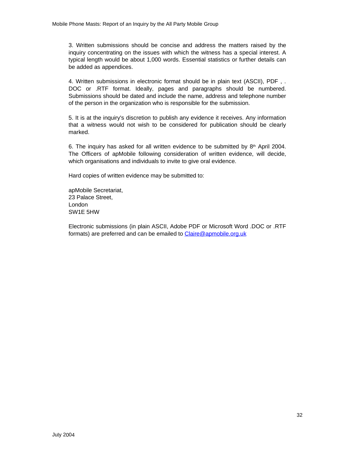3. Written submissions should be concise and address the matters raised by the inquiry concentrating on the issues with which the witness has a special interest. A typical length would be about 1,000 words. Essential statistics or further details can be added as appendices.

4. Written submissions in electronic format should be in plain text (ASCII), PDF , . DOC or .RTF format. Ideally, pages and paragraphs should be numbered. Submissions should be dated and include the name, address and telephone number of the person in the organization who is responsible for the submission.

5. It is at the inquiry's discretion to publish any evidence it receives. Any information that a witness would not wish to be considered for publication should be clearly marked.

6. The inquiry has asked for all written evidence to be submitted by  $8<sup>th</sup>$  April 2004. The Officers of apMobile following consideration of written evidence, will decide, which organisations and individuals to invite to give oral evidence.

Hard copies of written evidence may be submitted to:

apMobile Secretariat, 23 Palace Street, London SW1E 5HW

Electronic submissions (in plain ASCII, Adobe PDF or Microsoft Word .DOC or .RTF formats) are preferred and can be emailed to Claire@apmobile.org.uk